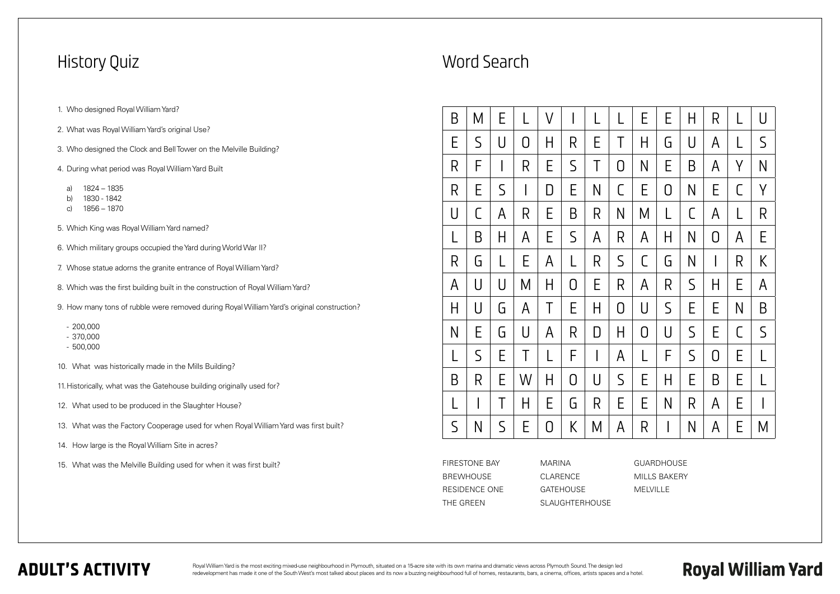### History Quiz

- 1. Who designed Royal William Yard?
- 2. What was Royal William Yard's original Use?
- 3. Who designed the Clock and Bell Tower on the Melville Building?
- 4. During what period was Royal William Yard Built
	- a) 1824 1835
	- b) 1830 1842
	- c) 1856 1870
- 5. Which King was Royal William Yard named?
- 6. Which military groups occupied the Yard during World War II?
- 7. Whose statue adorns the granite entrance of Royal William Yard?
- 8. Which was the first building built in the construction of Royal William Yard?
- 9. How many tons of rubble were removed during Royal William Yard's original construction?
	- 200,000
	- 370,000
	- 500,000
- 10. What was historically made in the Mills Building?
- 11.Historically, what was the Gatehouse building originally used for?
- 12. What used to be produced in the Slaughter House?
- 13. What was the Factory Cooperage used for when Royal William Yard was first built?
- 14. How large is the Royal William Site in acres?
- 15. What was the Melville Building used for when it was first built?

Royal William Yard is the most exciting mixed-use neighbourhood in Plymouth, situated on a 15-acre site with its own marina and dramatic views across Plymouth Sound. The design led redevelopment has made it one of the South West's most talked about places and its now a buzzing neighbourhood full of homes, restaurants, bars, a cinema, offices, artists spaces and a hotel.

| B           | Μ            | E           |              | $\sf V$ |              |              | $\mathsf{I}$   | E            | E              | H           | R              | L            | U            |
|-------------|--------------|-------------|--------------|---------|--------------|--------------|----------------|--------------|----------------|-------------|----------------|--------------|--------------|
| E           | $\mathsf S$  | U           | $\Omega$     | Η       | R            | E            | Τ              | H            | G              | U           | A              | L            | $\mathsf S$  |
| R           | F            |             | R            | E       | $\mathsf{S}$ | Τ            | $\overline{0}$ | $\mathsf{N}$ | Е              | B           | A              | Y            | $\mathsf{N}$ |
| R           | E            | $\mathsf S$ | I            | D       | E            | $\mathsf{N}$ | C              | E            | $\overline{0}$ | N           | E              | C            | Y            |
| U           | C            | A           | $\mathsf{R}$ | E       | $\mathsf B$  | R            | N              | M            | $\lfloor$      | $\mathsf C$ | A              | L            | $\mathsf{R}$ |
| L           | B            | Η           | A            | E       | $\mathsf S$  | A            | R              | A            | Н              | N           | 0              | A            | E            |
| R           | G            | L           | E            | A       | L            | R            | $\mathsf S$    | C            | G              | N           | $\mathsf{l}$   | R            | K            |
| A           | U            | U           | М            | Η       | $\bigcirc$   | E            | R              | A            | R              | $\mathsf S$ | H              | E            | A            |
| H           | U            | G           | $\mathsf{A}$ | Τ       | E            | Н            | $\overline{0}$ | $\bigcup$    | $\mathsf{S}$   | E           | E              | $\mathsf{N}$ | B            |
| N           | Ε            | G           | $\bigcup$    | A       | $\mathsf R$  | $\Box$       | H              | $\bigcirc$   | U              | $\mathsf S$ | E              | C            | $\mathsf S$  |
| L           | $\mathsf S$  | E           | T            | L       | F            | I            | A              | L            | F              | $\mathsf S$ | $\overline{O}$ | Е            | L            |
| B           | R            | E           | W            | Η       | $\bigcirc$   | U            | $\mathsf S$    | E            | Η              | E           | B              | E            | L            |
| L           | $\mathsf{l}$ | Τ           | H            | E       | G            | R            | Ε              | E            | $\mathsf{N}$   | R           | A              | Е            | I            |
| $\mathsf S$ | N            | $\mathsf S$ | Е            | 0       | K            | М            | A              | R            |                | N           | A              | Е            | M            |

## Word Search

| FIRESTONE BAY    | MARINA                |
|------------------|-----------------------|
| <b>BREWHOUSE</b> | CLARENCE              |
| RESIDENCE ONE    | <b>GATFHOUSE</b>      |
| THE GREEN        | <b>SLAUGHTERHOUSE</b> |

### **ADULT'S ACTIVITY**

GUARDHOUSE MILLS BAKERY MELVILLE

**Royal William Yard**